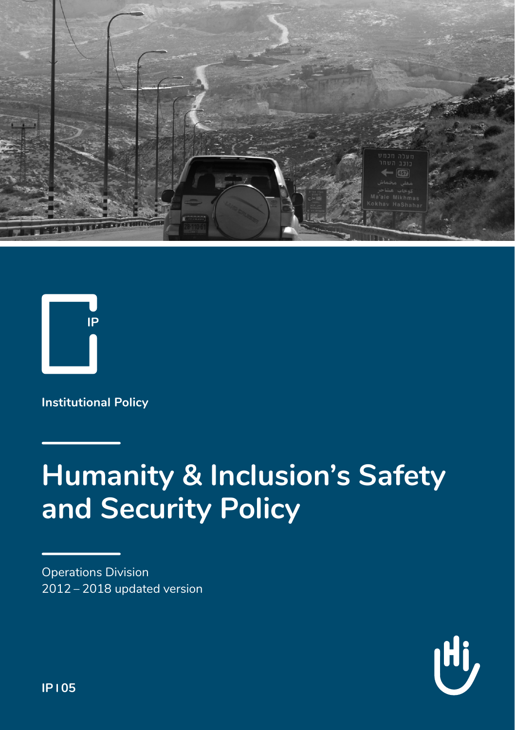



**Institutional Policy**

# **Humanity & Inclusion's Safety and Security Policy**

Operations Division 2012 – 2018 updated version



**IP 05**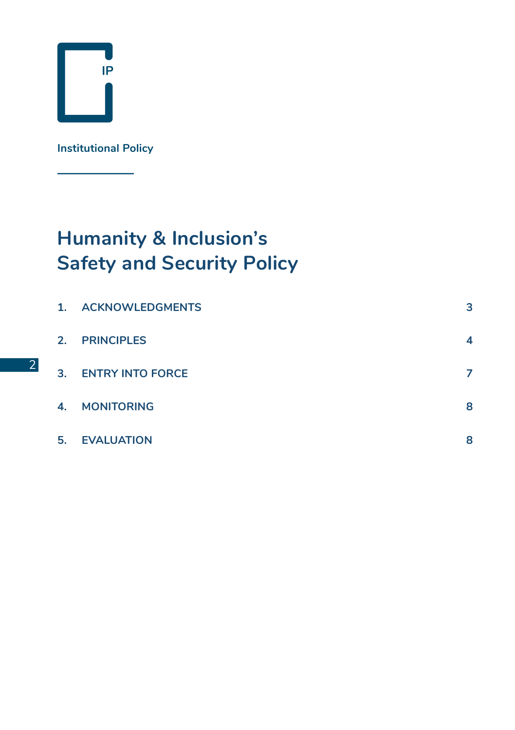

2

**Institutional Policy**

### **Humanity & Inclusion's Safety and Security Policy**

| 1. | <b>ACKNOWLEDGMENTS</b>  | з |
|----|-------------------------|---|
| 2. | <b>PRINCIPLES</b>       | 4 |
| 3. | <b>ENTRY INTO FORCE</b> | 7 |
| 4. | <b>MONITORING</b>       | 8 |
| 5. | <b>EVALUATION</b>       | 8 |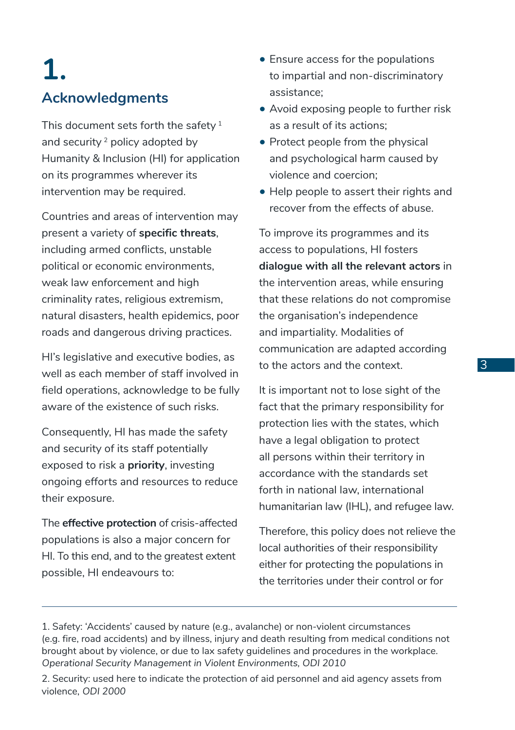## **1. Acknowledgments**

This document sets forth the safety $<sup>1</sup>$ </sup> and security 2 policy adopted by Humanity & Inclusion (HI) for application on its programmes wherever its intervention may be required.

Countries and areas of intervention may present a variety of **specific threats**, including armed conflicts, unstable political or economic environments, weak law enforcement and high criminality rates, religious extremism, natural disasters, health epidemics, poor roads and dangerous driving practices.

HI's legislative and executive bodies, as well as each member of staff involved in field operations, acknowledge to be fully aware of the existence of such risks.

Consequently, HI has made the safety and security of its staff potentially exposed to risk a **priority**, investing ongoing efforts and resources to reduce their exposure.

The **effective protection** of crisis-affected populations is also a major concern for HI. To this end, and to the greatest extent possible, HI endeavours to:

- Ensure access for the populations to impartial and non-discriminatory assistance;
- Avoid exposing people to further risk as a result of its actions;
- Protect people from the physical and psychological harm caused by violence and coercion;
- Help people to assert their rights and recover from the effects of abuse.

To improve its programmes and its access to populations, HI fosters **dialogue with all the relevant actors** in the intervention areas, while ensuring that these relations do not compromise the organisation's independence and impartiality. Modalities of communication are adapted according to the actors and the context.

It is important not to lose sight of the fact that the primary responsibility for protection lies with the states, which have a legal obligation to protect all persons within their territory in accordance with the standards set forth in national law, international humanitarian law (IHL), and refugee law.

Therefore, this policy does not relieve the local authorities of their responsibility either for protecting the populations in the territories under their control or for

2. Security: used here to indicate the protection of aid personnel and aid agency assets from violence, ODI 2000

<sup>1.</sup> Safety: 'Accidents' caused by nature (e.g., avalanche) or non-violent circumstances (e.g. fire, road accidents) and by illness, injury and death resulting from medical conditions not brought about by violence, or due to lax safety guidelines and procedures in the workplace. Operational Security Management in Violent Environments, ODI 2010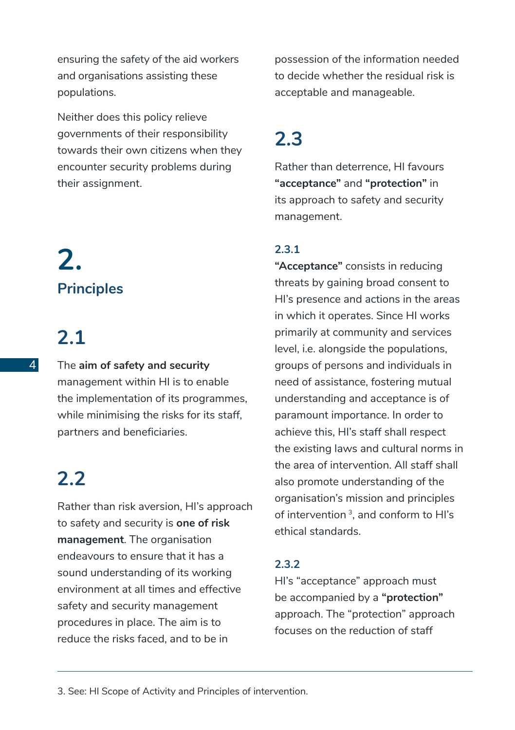ensuring the safety of the aid workers and organisations assisting these populations.

Neither does this policy relieve governments of their responsibility towards their own citizens when they encounter security problems during their assignment.

## **2. Principles**

## **2.1**

The **aim of safety and security** management within HI is to enable the implementation of its programmes, while minimising the risks for its staff, partners and beneficiaries.

#### **2.2**

Rather than risk aversion, HI's approach to safety and security is **one of risk management**. The organisation endeavours to ensure that it has a sound understanding of its working environment at all times and effective safety and security management procedures in place. The aim is to reduce the risks faced, and to be in

possession of the information needed to decide whether the residual risk is acceptable and manageable.

#### **2.3**

Rather than deterrence, HI favours **"acceptance"** and **"protection"** in its approach to safety and security management.

#### **2.3.1**

**"Acceptance"** consists in reducing threats by gaining broad consent to HI's presence and actions in the areas in which it operates. Since HI works primarily at community and services level, i.e. alongside the populations, groups of persons and individuals in need of assistance, fostering mutual understanding and acceptance is of paramount importance. In order to achieve this, HI's staff shall respect the existing laws and cultural norms in the area of intervention. All staff shall also promote understanding of the organisation's mission and principles of intervention<sup> $3$ </sup> and conform to HI's ethical standards.

#### **2.3.2**

HI's "acceptance" approach must be accompanied by a **"protection"**  approach. The "protection" approach focuses on the reduction of staff

3. See: HI Scope of Activity and Principles of intervention.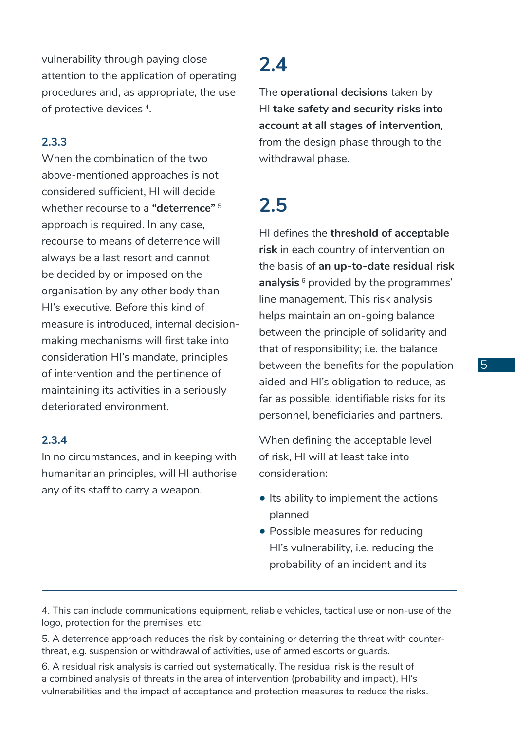vulnerability through paying close attention to the application of operating procedures and, as appropriate, the use of protective devices 4.

#### **2.3.3**

When the combination of the two above-mentioned approaches is not considered sufficient, HI will decide whether recourse to a **"deterrence"** <sup>5</sup> approach is required. In any case, recourse to means of deterrence will always be a last resort and cannot be decided by or imposed on the organisation by any other body than HI's executive. Before this kind of measure is introduced, internal decisionmaking mechanisms will first take into consideration HI's mandate, principles of intervention and the pertinence of maintaining its activities in a seriously deteriorated environment.

#### **2.3.4**

In no circumstances, and in keeping with humanitarian principles, will HI authorise any of its staff to carry a weapon.

#### **2.4**

The **operational decisions** taken by HI **take safety and security risks into account at all stages of intervention**, from the design phase through to the withdrawal phase.

#### **2.5**

HI defines the **threshold of acceptable risk** in each country of intervention on the basis of **an up-to-date residual risk analysis** <sup>6</sup> provided by the programmes' line management. This risk analysis helps maintain an on-going balance between the principle of solidarity and that of responsibility; i.e. the balance between the benefits for the population aided and HI's obligation to reduce, as far as possible, identifiable risks for its personnel, beneficiaries and partners.

When defining the acceptable level of risk, HI will at least take into consideration:

- Its ability to implement the actions planned
- Possible measures for reducing HI's vulnerability, i.e. reducing the probability of an incident and its

4. This can include communications equipment, reliable vehicles, tactical use or non-use of the logo, protection for the premises, etc.

5. A deterrence approach reduces the risk by containing or deterring the threat with counterthreat, e.g. suspension or withdrawal of activities, use of armed escorts or guards.

6. A residual risk analysis is carried out systematically. The residual risk is the result of a combined analysis of threats in the area of intervention (probability and impact), HI's vulnerabilities and the impact of acceptance and protection measures to reduce the risks.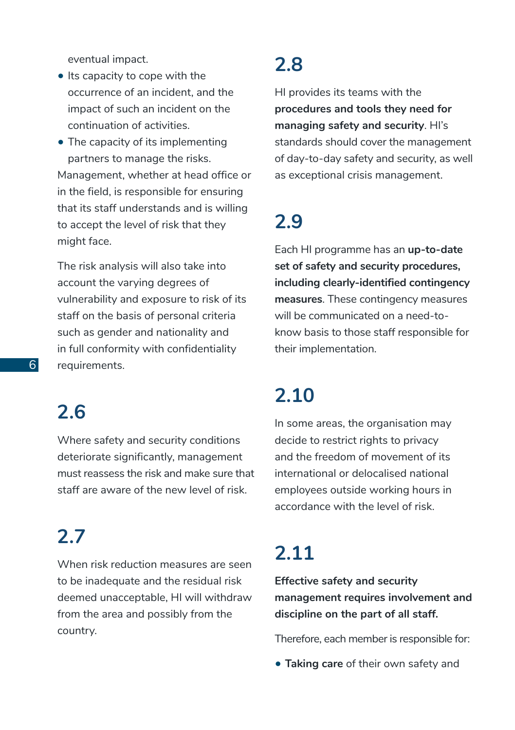eventual impact.

- Its capacity to cope with the occurrence of an incident, and the impact of such an incident on the continuation of activities.
- The capacity of its implementing partners to manage the risks. Management, whether at head office or in the field, is responsible for ensuring that its staff understands and is willing to accept the level of risk that they might face.

The risk analysis will also take into account the varying degrees of vulnerability and exposure to risk of its staff on the basis of personal criteria such as gender and nationality and in full conformity with confidentiality requirements.

#### **2.6**

Where safety and security conditions deteriorate significantly, management must reassess the risk and make sure that staff are aware of the new level of risk.

### **2.7**

When risk reduction measures are seen to be inadequate and the residual risk deemed unacceptable, HI will withdraw from the area and possibly from the country.

#### **2.8**

HI provides its teams with the **procedures and tools they need for managing safety and security**. HI's standards should cover the management of day-to-day safety and security, as well as exceptional crisis management.

## **2.9**

Each HI programme has an **up-to-date set of safety and security procedures, including clearly-identified contingency measures**. These contingency measures will be communicated on a need-toknow basis to those staff responsible for their implementation.

#### **2.10**

In some areas, the organisation may decide to restrict rights to privacy and the freedom of movement of its international or delocalised national employees outside working hours in accordance with the level of risk.

### **2.11**

**Effective safety and security management requires involvement and discipline on the part of all staff.** 

Therefore, each member is responsible for:

• **Taking care** of their own safety and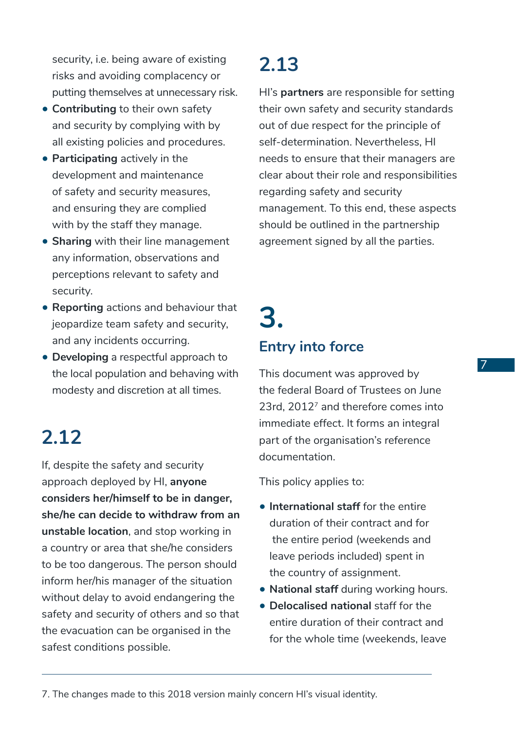security, i.e. being aware of existing risks and avoiding complacency or putting themselves at unnecessary risk.

- **Contributing** to their own safety and security by complying with by all existing policies and procedures.
- **Participating** actively in the development and maintenance of safety and security measures, and ensuring they are complied with by the staff they manage.
- **Sharing** with their line management any information, observations and perceptions relevant to safety and security.
- **Reporting** actions and behaviour that jeopardize team safety and security, and any incidents occurring.
- **Developing** a respectful approach to the local population and behaving with modesty and discretion at all times.

### **2.12**

If, despite the safety and security approach deployed by HI, **anyone considers her/himself to be in danger, she/he can decide to withdraw from an unstable location**, and stop working in a country or area that she/he considers to be too dangerous. The person should inform her/his manager of the situation without delay to avoid endangering the safety and security of others and so that the evacuation can be organised in the safest conditions possible.

### **2.13**

HI's **partners** are responsible for setting their own safety and security standards out of due respect for the principle of self-determination. Nevertheless, HI needs to ensure that their managers are clear about their role and responsibilities regarding safety and security management. To this end, these aspects should be outlined in the partnership agreement signed by all the parties.

## **3. Entry into force**

This document was approved by the federal Board of Trustees on June 23rd, 20127 and therefore comes into immediate effect. It forms an integral part of the organisation's reference documentation.

This policy applies to:

- **International staff** for the entire duration of their contract and for the entire period (weekends and leave periods included) spent in the country of assignment.
- **National staff** during working hours.
- **Delocalised national** staff for the entire duration of their contract and for the whole time (weekends, leave

7. The changes made to this 2018 version mainly concern HI's visual identity.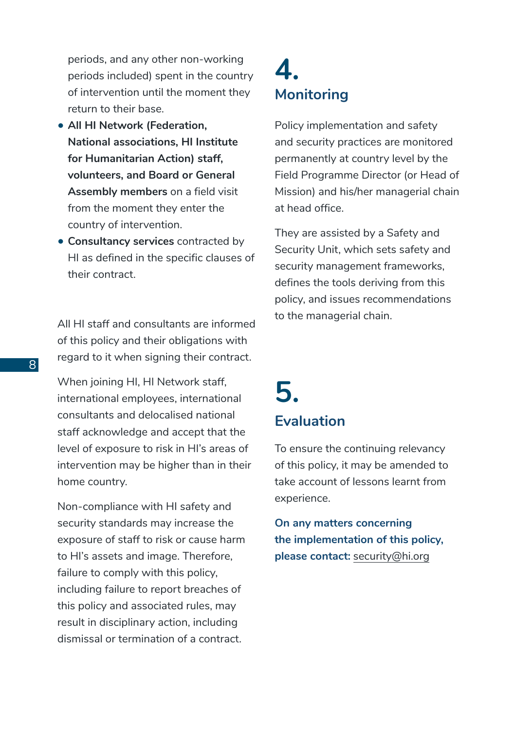periods, and any other non-working periods included) spent in the country of intervention until the moment they return to their base.

- **All HI Network (Federation, National associations, HI Institute for Humanitarian Action) staff, volunteers, and Board or General Assembly members** on a field visit from the moment they enter the country of intervention.
- **Consultancy services** contracted by HI as defined in the specific clauses of their contract.

All HI staff and consultants are informed of this policy and their obligations with regard to it when signing their contract.

When joining HI, HI Network staff, international employees, international consultants and delocalised national staff acknowledge and accept that the level of exposure to risk in HI's areas of intervention may be higher than in their home country.

Non-compliance with HI safety and security standards may increase the exposure of staff to risk or cause harm to HI's assets and image. Therefore, failure to comply with this policy, including failure to report breaches of this policy and associated rules, may result in disciplinary action, including dismissal or termination of a contract.

#### **4. Monitoring**

Policy implementation and safety and security practices are monitored permanently at country level by the Field Programme Director (or Head of Mission) and his/her managerial chain at head office.

They are assisted by a Safety and Security Unit, which sets safety and security management frameworks, defines the tools deriving from this policy, and issues recommendations to the managerial chain.

#### **5. Evaluation**

To ensure the continuing relevancy of this policy, it may be amended to take account of lessons learnt from experience.

**On any matters concerning the implementation of this policy, please contact:** security@hi.org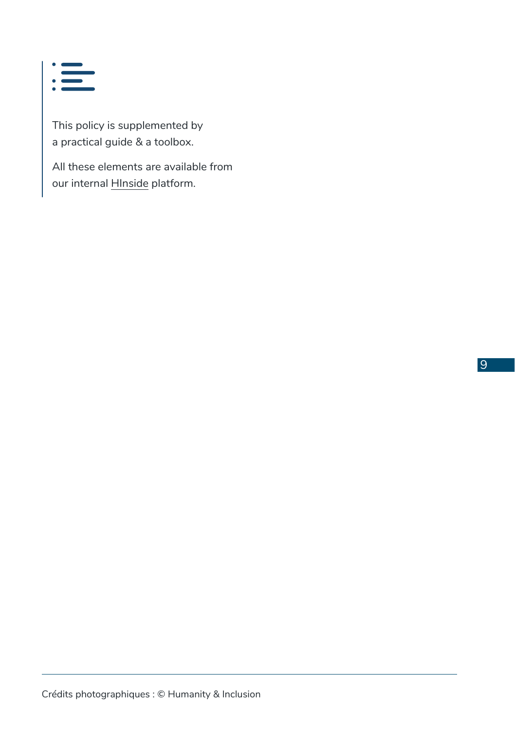

This policy is supplemented by a practical guide & a toolbox.

All these elements are available from our internal HInside platform.